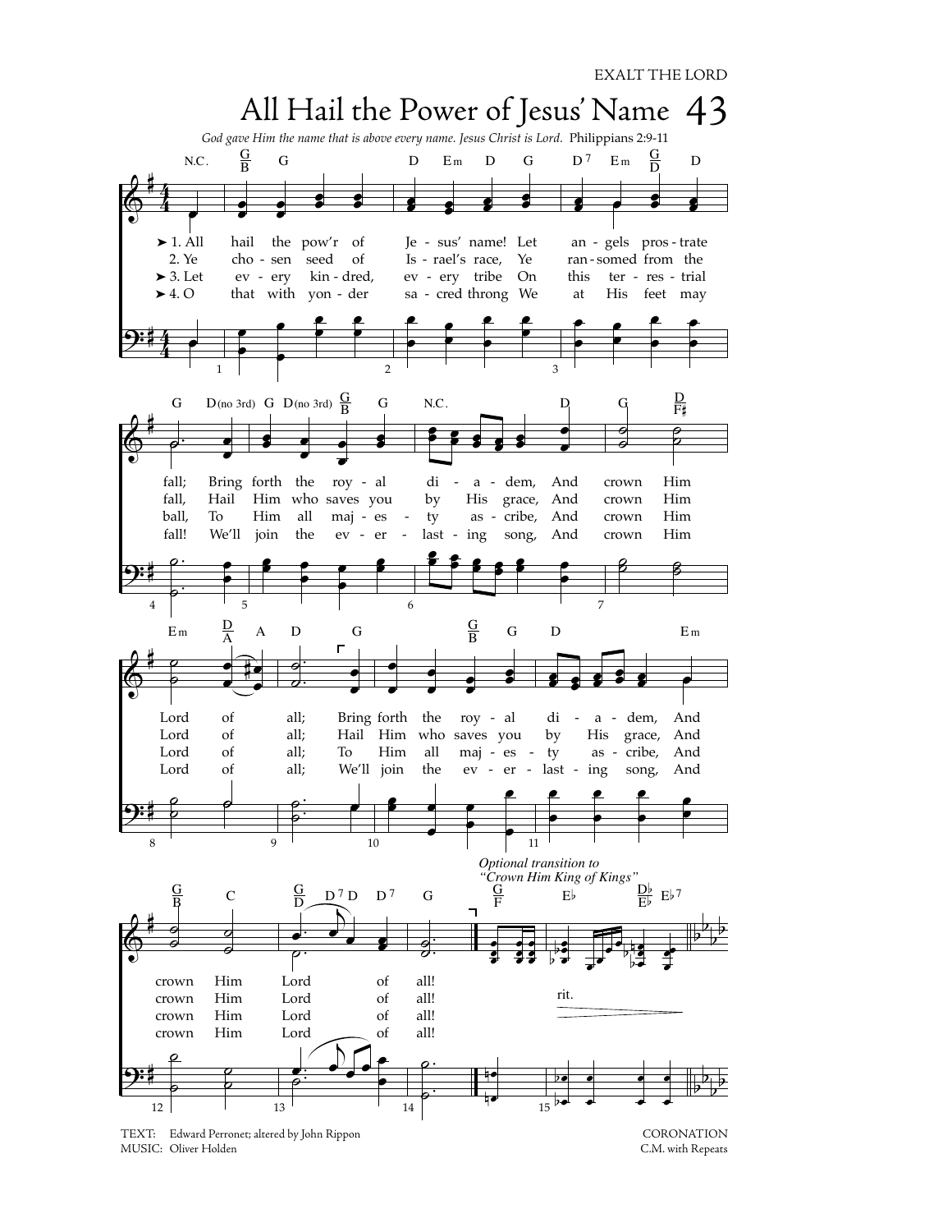



C.M. with Repeats CORONATION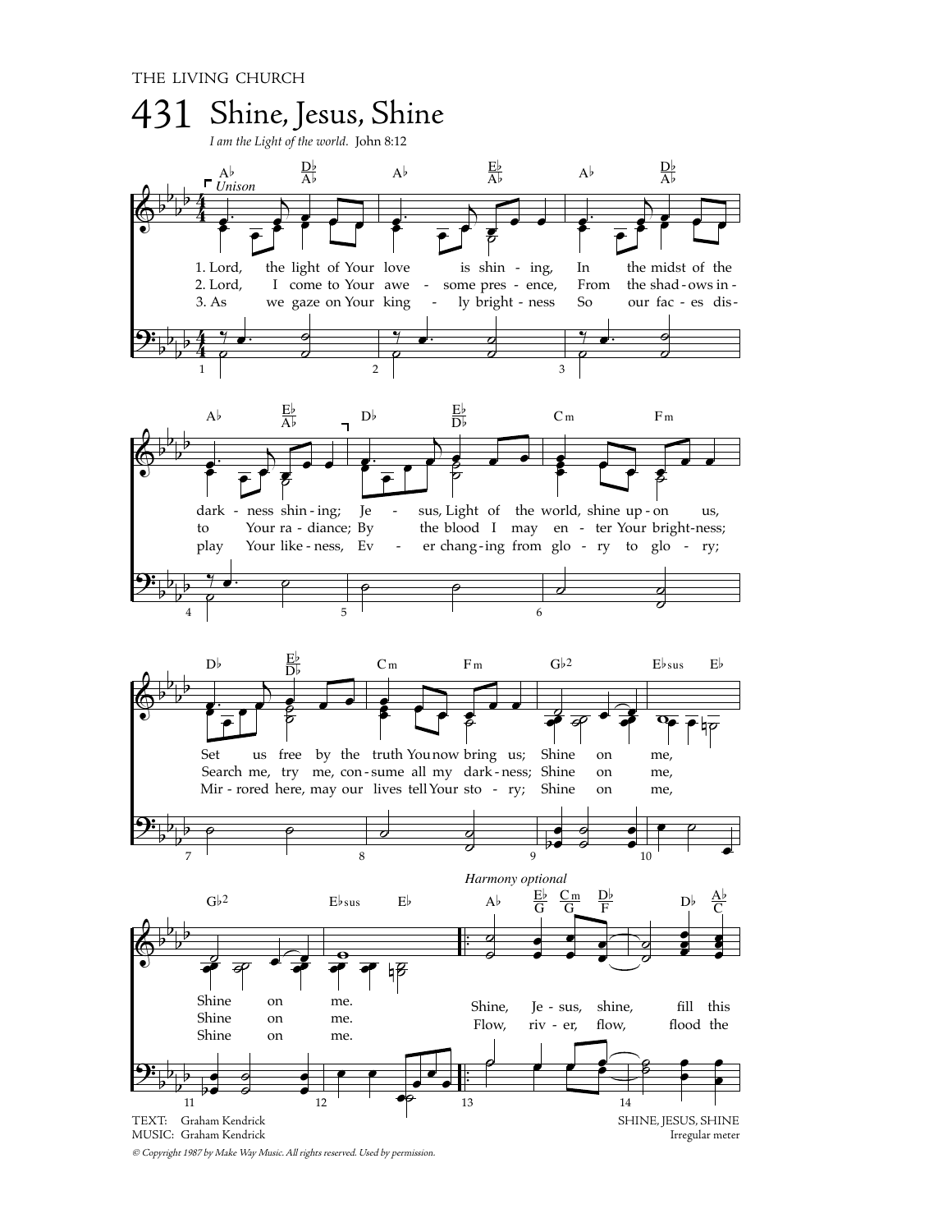

© Copyright 1987 by Make Way Music. All rights reserved. Used by permission.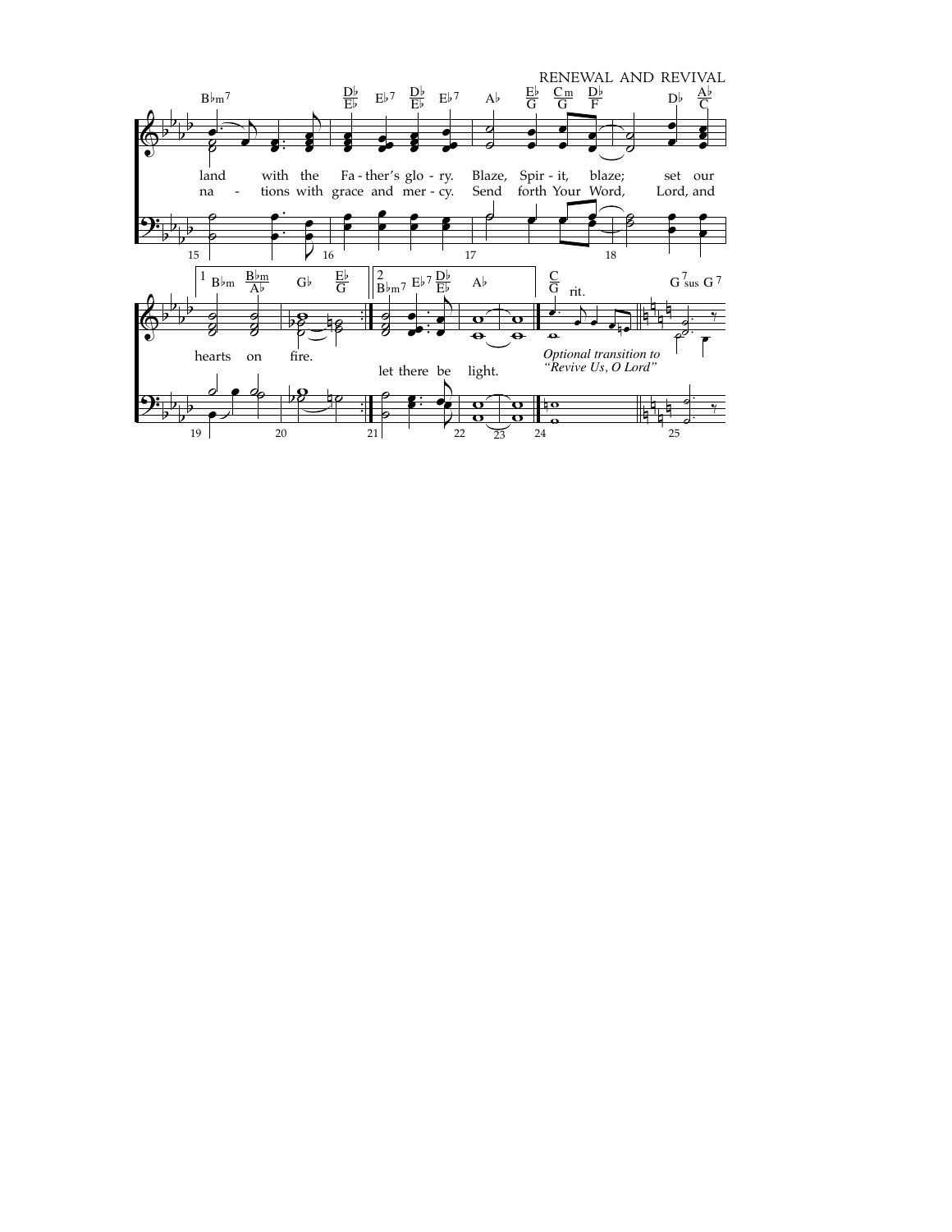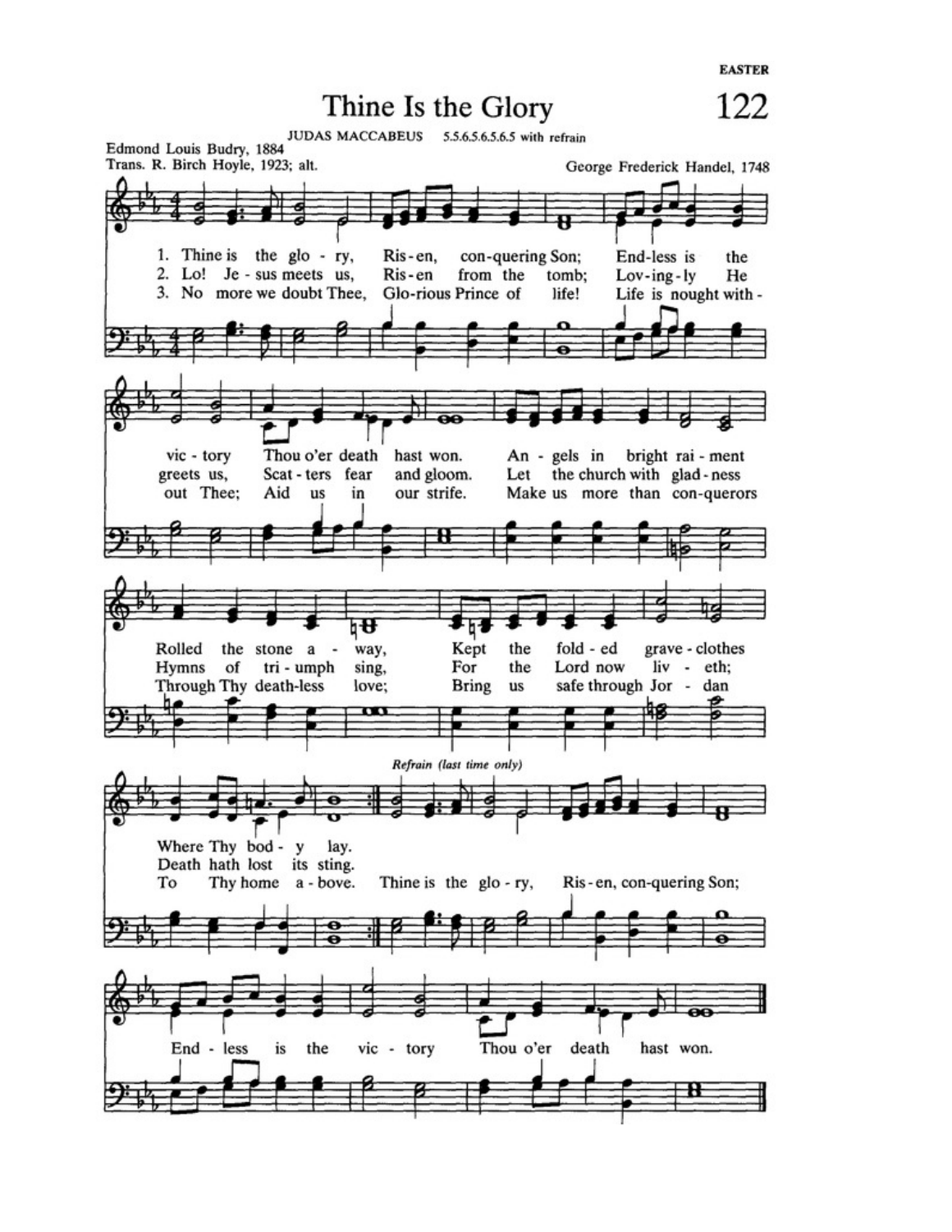**EASTER** 

## 122 Thine Is the Glory